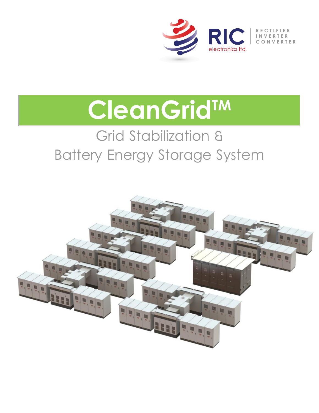

# **CleanGridTM**

# Grid Stabilization & Battery Energy Storage System

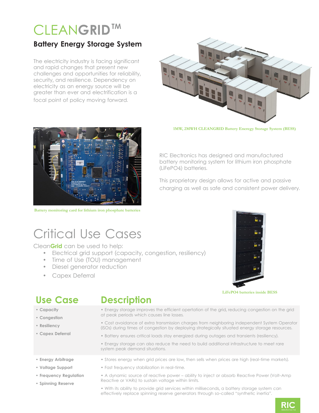# CLEAN**GRID TM**

#### **Battery Energy Storage System**

The electricity industry is facing significant and rapid changes that present new challenges and opportunities for reliability, security, and resilience. Dependency on electricity as an energy source will be greater than ever and electrification is a focal point of policy moving forward.



**1MW, 2MWH CLEANGRID Battery Eneregy Storage System (BESS)**



**Battery monitoring card for lithium iron phosphate batteries**

RIC Electronics has designed and manufactured battery monitoring system for lithium iron phosphate (LiFePO4) batteries.

This proprietary design allows for active and passive charging as well as safe and consistent power delivery.

### Critical Use Cases

Clean**Grid** can be used to help:

- Electrical grid support (capacity, congestion, resiliency)
- Time of Use (TOU) management
- Diesel generator reduction
- Capex Deferral



**LiFePO4 batteries inside BESS**

- **Capacity**
- **Congestion**
- **Resiliency**

**• Capex Deferral** 

#### **Use Case Description**

- Energy storage improves the efficient opertation of the grid, reducing congestion on the grid at peak periods which causes line losses.
- Cost avoidance of extra transmission charges from neighboring independent System Operator (ISOs) during times of congestion by deploying strategically situated energy storage resources.
- Battery ensures critical loads stay energized during outages and transients (resiliency).
- Energy storage can also reduce the need to build additional infrastructure to meet rare system peak demand situations.
- **Energy Arbitrage**
- **Voltage Support**
- **Frequency Regulation**
- **Spinning Reserve**
- Fast frequency stabilization in real-time. • A dynamic source of reactive power – ability to inject or absorb Reactive Power (Volt-Amp

• Stores energy when grid prices are low, then sells when prices are high (real-time markets).

Reactive or VARs) to sustain voltage within limits. • With its ability to provide grid services within milliseconds, a battery storage system can

effectively replace spinning reserve generators through so-called "synthetic inertia".